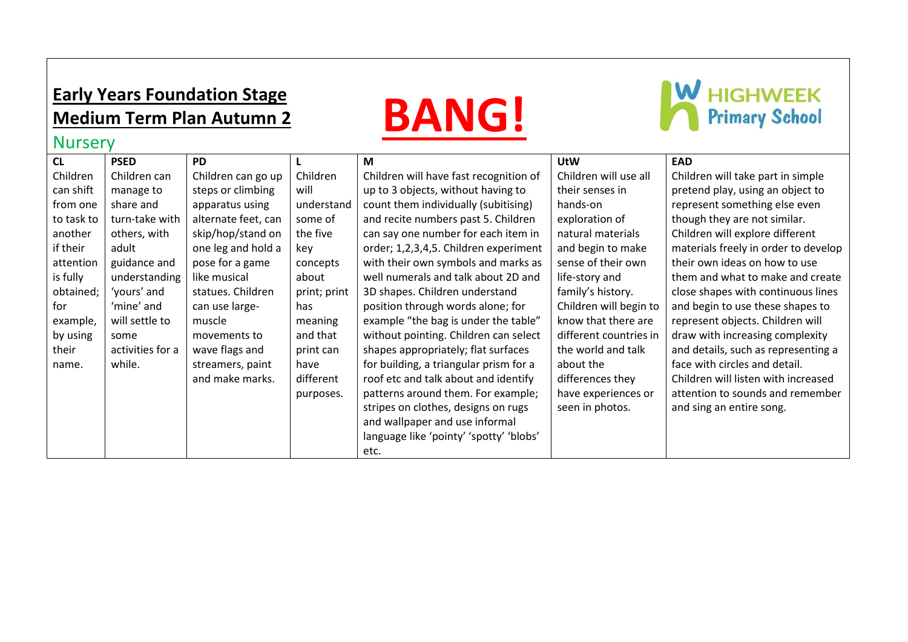### **Early Years Foundation Stage Medium Term Plan Autumn 2**

## **BANG!**

# **W** HIGHWEEK

| <b>Nursery</b> |                  |                     |              |                                         |                        |                                      |
|----------------|------------------|---------------------|--------------|-----------------------------------------|------------------------|--------------------------------------|
| CL             | <b>PSED</b>      | <b>PD</b>           |              | M                                       | <b>UtW</b>             | <b>EAD</b>                           |
| Children       | Children can     | Children can go up  | Children     | Children will have fast recognition of  | Children will use all  | Children will take part in simple    |
| can shift      | manage to        | steps or climbing   | will         | up to 3 objects, without having to      | their senses in        | pretend play, using an object to     |
| from one       | share and        | apparatus using     | understand   | count them individually (subitising)    | hands-on               | represent something else even        |
| to task to     | turn-take with   | alternate feet, can | some of      | and recite numbers past 5. Children     | exploration of         | though they are not similar.         |
| another        | others, with     | skip/hop/stand on   | the five     | can say one number for each item in     | natural materials      | Children will explore different      |
| if their       | adult            | one leg and hold a  | key          | order; 1,2,3,4,5. Children experiment   | and begin to make      | materials freely in order to develop |
| attention      | guidance and     | pose for a game     | concepts     | with their own symbols and marks as     | sense of their own     | their own ideas on how to use        |
| is fully       | understanding    | like musical        | about        | well numerals and talk about 2D and     | life-story and         | them and what to make and create     |
| obtained;      | 'yours' and      | statues. Children   | print; print | 3D shapes. Children understand          | family's history.      | close shapes with continuous lines   |
| for            | 'mine' and       | can use large-      | has          | position through words alone; for       | Children will begin to | and begin to use these shapes to     |
| example,       | will settle to   | muscle              | meaning      | example "the bag is under the table"    | know that there are    | represent objects. Children will     |
| by using       | some             | movements to        | and that     | without pointing. Children can select   | different countries in | draw with increasing complexity      |
| their          | activities for a | wave flags and      | print can    | shapes appropriately; flat surfaces     | the world and talk     | and details, such as representing a  |
| name.          | while.           | streamers, paint    | have         | for building, a triangular prism for a  | about the              | face with circles and detail.        |
|                |                  | and make marks.     | different    | roof etc and talk about and identify    | differences they       | Children will listen with increased  |
|                |                  |                     | purposes.    | patterns around them. For example;      | have experiences or    | attention to sounds and remember     |
|                |                  |                     |              | stripes on clothes, designs on rugs     | seen in photos.        | and sing an entire song.             |
|                |                  |                     |              | and wallpaper and use informal          |                        |                                      |
|                |                  |                     |              | language like 'pointy' 'spotty' 'blobs' |                        |                                      |
|                |                  |                     |              | etc.                                    |                        |                                      |